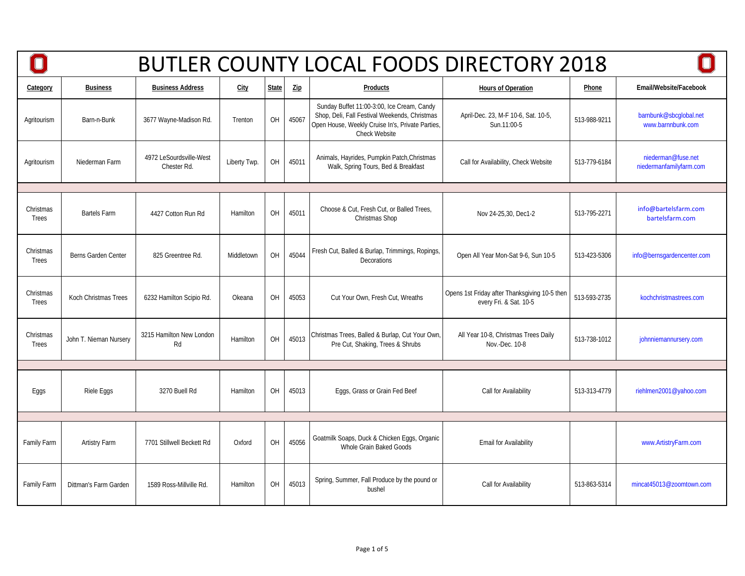|                    |                        |                                        |              |              |                | <b>BUTLER COUNTY LOCAL FOODS DIRECTORY 2018</b>                                                                                                                  |                                                                         |              |                                               |
|--------------------|------------------------|----------------------------------------|--------------|--------------|----------------|------------------------------------------------------------------------------------------------------------------------------------------------------------------|-------------------------------------------------------------------------|--------------|-----------------------------------------------|
| Category           | <b>Business</b>        | <b>Business Address</b>                | <b>City</b>  | <b>State</b> | $\mathsf{Zip}$ | Products                                                                                                                                                         | <b>Hours of Operation</b>                                               | Phone        | Email/Website/Facebook                        |
| Agritourism        | Barn-n-Bunk            | 3677 Wayne-Madison Rd.                 | Trenton      | OH           | 45067          | Sunday Buffet 11:00-3:00, Ice Cream, Candy<br>Shop, Deli, Fall Festival Weekends, Christmas<br>Open House, Weekly Cruise In's, Private Parties,<br>Check Website | April-Dec. 23, M-F 10-6, Sat. 10-5,<br>Sun.11:00-5                      | 513-988-9211 | barnbunk@sbcqlobal.net<br>www.barnnbunk.com   |
| Agritourism        | Niederman Farm         | 4972 LeSourdsville-West<br>Chester Rd. | Liberty Twp. | OH           | 45011          | Animals, Hayrides, Pumpkin Patch, Christmas<br>Walk, Spring Tours, Bed & Breakfast                                                                               | Call for Availability, Check Website                                    | 513-779-6184 | niederman@fuse.net<br>niedermanfamilyfarm.com |
|                    |                        |                                        |              |              |                |                                                                                                                                                                  |                                                                         |              |                                               |
| Christmas<br>Trees | <b>Bartels Farm</b>    | 4427 Cotton Run Rd                     | Hamilton     | OH           | 45011          | Choose & Cut, Fresh Cut, or Balled Trees,<br>Christmas Shop                                                                                                      | Nov 24-25,30, Dec1-2                                                    | 513-795-2271 | info@bartelsfarm.com<br>bartelsfarm.com       |
| Christmas<br>Trees | Berns Garden Center    | 825 Greentree Rd.                      | Middletown   | OH           | 45044          | Fresh Cut, Balled & Burlap, Trimmings, Ropings,<br>Decorations                                                                                                   | Open All Year Mon-Sat 9-6, Sun 10-5                                     | 513-423-5306 | info@bernsgardencenter.com                    |
| Christmas<br>Trees | Koch Christmas Trees   | 6232 Hamilton Scipio Rd.               | Okeana       | OH           | 45053          | Cut Your Own, Fresh Cut, Wreaths                                                                                                                                 | Opens 1st Friday after Thanksgiving 10-5 then<br>every Fri. & Sat. 10-5 | 513-593-2735 | kochchristmastrees.com                        |
| Christmas<br>Trees | John T. Nieman Nursery | 3215 Hamilton New London<br>Rd         | Hamilton     | OH           | 45013          | Christmas Trees, Balled & Burlap, Cut Your Own,<br>Pre Cut, Shaking, Trees & Shrubs                                                                              | All Year 10-8, Christmas Trees Daily<br>Nov.-Dec. 10-8                  | 513-738-1012 | johnniemannursery.com                         |
|                    |                        |                                        |              |              |                |                                                                                                                                                                  |                                                                         |              |                                               |
| Eggs               | Riele Eggs             | 3270 Buell Rd                          | Hamilton     | OH           | 45013          | Eggs, Grass or Grain Fed Beef                                                                                                                                    | Call for Availability                                                   | 513-313-4779 | riehlmen2001@yahoo.com                        |
|                    |                        |                                        |              |              |                |                                                                                                                                                                  |                                                                         |              |                                               |
| <b>Family Farm</b> | Artistry Farm          | 7701 Stillwell Beckett Rd              | Oxford       | OH           | 45056          | Goatmilk Soaps, Duck & Chicken Eggs, Organic<br>Whole Grain Baked Goods                                                                                          | Email for Availability                                                  |              | www.ArtistryFarm.com                          |
| Family Farm        | Dittman's Farm Garden  | 1589 Ross-Millville Rd.                | Hamilton     | OH           | 45013          | Spring, Summer, Fall Produce by the pound or<br>bushel                                                                                                           | Call for Availability                                                   | 513-863-5314 | mincat45013@zoomtown.com                      |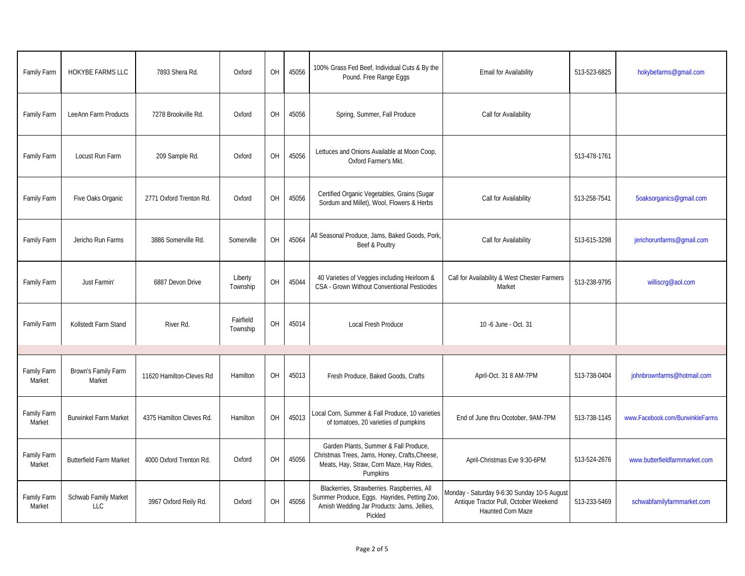| Family Farm           | <b>HOKYBE FARMS LLC</b>        | 7893 Shera Rd.           | Oxford                | OH | 45056 | 100% Grass Fed Beef, Individual Cuts & By the<br>Pound. Free Range Eggs                                                                              | <b>Email for Availability</b>                                                                             | 513-523-6825 | hokybefarms@gmail.com           |
|-----------------------|--------------------------------|--------------------------|-----------------------|----|-------|------------------------------------------------------------------------------------------------------------------------------------------------------|-----------------------------------------------------------------------------------------------------------|--------------|---------------------------------|
| Family Farm           | LeeAnn Farm Products           | 7278 Brookville Rd.      | Oxford                | OH | 45056 | Spring, Summer, Fall Produce                                                                                                                         | Call for Availability                                                                                     |              |                                 |
| Family Farm           | Locust Run Farm                | 209 Sample Rd.           | Oxford                | OH | 45056 | Lettuces and Onions Available at Moon Coop,<br>Oxford Farmer's Mkt.                                                                                  |                                                                                                           | 513-478-1761 |                                 |
| Family Farm           | Five Oaks Organic              | 2771 Oxford Trenton Rd.  | Oxford                | OH | 45056 | Certified Organic Vegetables, Grains (Sugar<br>Sordum and Millet), Wool, Flowers & Herbs                                                             | Call for Availability                                                                                     | 513-258-7541 | 5oaksorganics@gmail.com         |
| Family Farm           | Jericho Run Farms              | 3886 Somerville Rd.      | Somerville            | OH | 45064 | All Seasonal Produce, Jams, Baked Goods, Pork,<br>Beef & Poultry                                                                                     | Call for Availability                                                                                     | 513-615-3298 | jerichorunfarms@gmail.com       |
| Family Farm           | Just Farmin'                   | 6887 Devon Drive         | Liberty<br>Township   | OH | 45044 | 40 Varieties of Veggies including Heirloom &<br>CSA - Grown Without Conventional Pesticides                                                          | Call for Availability & West Chester Farmers<br>Market                                                    | 513-238-9795 | williscrq@aol.com               |
| Family Farm           | Kollstedt Farm Stand           | River Rd.                | Fairfield<br>Township | OH | 45014 | Local Fresh Produce                                                                                                                                  | 10 -6 June - Oct. 31                                                                                      |              |                                 |
|                       |                                |                          |                       |    |       |                                                                                                                                                      |                                                                                                           |              |                                 |
| Family Farm<br>Market | Brown's Family Farm<br>Market  | 11620 Hamilton-Cleves Rd | Hamilton              | OH | 45013 | Fresh Produce, Baked Goods, Crafts                                                                                                                   | April-Oct. 31 8 AM-7PM                                                                                    | 513-738-0404 | johnbrownfarms@hotmail.com      |
| Family Farm<br>Market | <b>Burwinkel Farm Market</b>   | 4375 Hamilton Cleves Rd. | Hamilton              | OH | 45013 | Local Corn, Summer & Fall Produce, 10 varieties<br>of tomatoes, 20 varieties of pumpkins                                                             | End of June thru Ocotober, 9AM-7PM                                                                        | 513-738-1145 | www.Facebook.com/BurwinkleFarms |
| Family Farm<br>Market | <b>Butterfield Farm Market</b> | 4000 Oxford Trenton Rd.  | Oxford                | OH | 45056 | Garden Plants, Summer & Fall Produce,<br>Christmas Trees, Jams, Honey, Crafts, Cheese,<br>Meats, Hay, Straw, Corn Maze, Hay Rides,<br>Pumpkins       | April-Christmas Eve 9:30-6PM                                                                              | 513-524-2676 | www.butterfieldfarmmarket.com   |
| Family Farm<br>Market | Schwab Family Market<br>LLC    | 3967 Oxford Reily Rd.    | Oxford                | OH | 45056 | Blackerries, Strawberries. Raspberries, All<br>Summer Produce, Eggs. Hayrides, Petting Zoo,<br>Amish Wedding Jar Products: Jams, Jellies,<br>Pickled | Monday - Saturday 9-6:30 Sunday 10-5 August<br>Antique Tractor Pull, October Weekend<br>Haunted Corn Maze | 513-233-5469 | schwabfamilyfarmmarket.com      |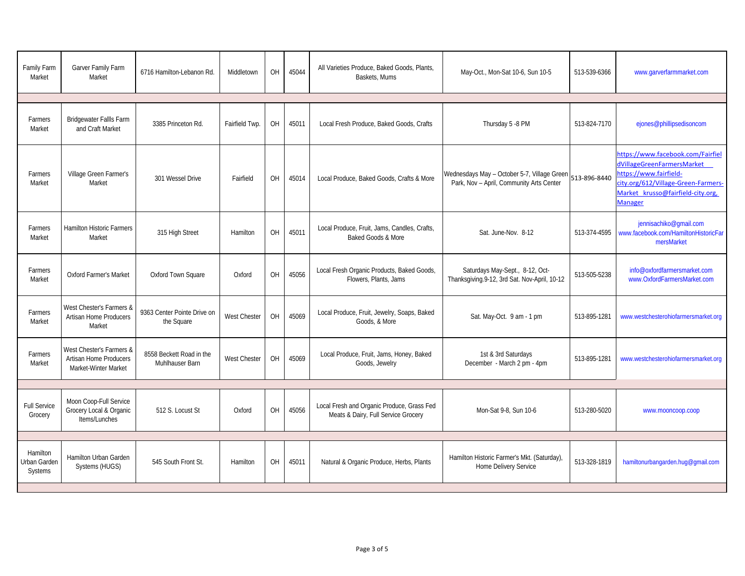| Family Farm<br>Market               | Garver Family Farm<br>Market                                                      | 6716 Hamilton-Lebanon Rd.                   | Middletown     | OH        | 45044 | All Varieties Produce, Baked Goods, Plants,<br>Baskets, Mums                      | May-Oct., Mon-Sat 10-6, Sun 10-5                                                        | 513-539-6366 | www.garverfarmmarket.com                                                                                                                                                                |
|-------------------------------------|-----------------------------------------------------------------------------------|---------------------------------------------|----------------|-----------|-------|-----------------------------------------------------------------------------------|-----------------------------------------------------------------------------------------|--------------|-----------------------------------------------------------------------------------------------------------------------------------------------------------------------------------------|
|                                     |                                                                                   |                                             |                |           |       |                                                                                   |                                                                                         |              |                                                                                                                                                                                         |
| Farmers<br>Market                   | <b>Bridgewater Fallls Farm</b><br>and Craft Market                                | 3385 Princeton Rd.                          | Fairfield Twp. | OH        | 45011 | Local Fresh Produce, Baked Goods, Crafts                                          | Thursday 5 -8 PM                                                                        | 513-824-7170 | ejones@phillipsedisoncom                                                                                                                                                                |
| Farmers<br>Market                   | Village Green Farmer's<br>Market                                                  | 301 Wessel Drive                            | Fairfield      | OH        | 45014 | Local Produce, Baked Goods, Crafts & More                                         | Wednesdays May - October 5-7, Village Green<br>Park, Nov - April, Community Arts Center | 513-896-8440 | https://www.facebook.com/Fairfiel<br>dVillageGreenFarmersMarket<br>https://www.fairfield-<br>city.org/612/Village-Green-Farmers-<br>Market krusso@fairfield-city.org,<br><b>Manager</b> |
| Farmers<br>Market                   | <b>Hamilton Historic Farmers</b><br>Market                                        | 315 High Street                             | Hamilton       | OH        | 45011 | Local Produce, Fruit, Jams, Candles, Crafts,<br>Baked Goods & More                | Sat. June-Nov. 8-12                                                                     | 513-374-4595 | jennisachiko@gmail.com<br>www.facebook.com/HamiltonHistoricFar<br>mersMarket                                                                                                            |
| Farmers<br>Market                   | <b>Oxford Farmer's Market</b>                                                     | Oxford Town Square                          | Oxford         | <b>OH</b> | 45056 | Local Fresh Organic Products, Baked Goods,<br>Flowers, Plants, Jams               | Saturdays May-Sept., 8-12, Oct-<br>Thanksgiving.9-12, 3rd Sat. Nov-April, 10-12         | 513-505-5238 | info@oxfordfarmersmarket.com<br>www.OxfordFarmersMarket.com                                                                                                                             |
| Farmers<br>Market                   | West Chester's Farmers &<br><b>Artisan Home Producers</b><br>Market               | 9363 Center Pointe Drive on<br>the Square   | West Chester   | OH        | 45069 | Local Produce, Fruit, Jewelry, Soaps, Baked<br>Goods, & More                      | Sat. May-Oct. 9 am - 1 pm                                                               | 513-895-1281 | www.westchesterohiofarmersmarket.org                                                                                                                                                    |
| Farmers<br>Market                   | West Chester's Farmers &<br><b>Artisan Home Producers</b><br>Market-Winter Market | 8558 Beckett Road in the<br>Muhlhauser Barn | West Chester   | OH        | 45069 | Local Produce, Fruit, Jams, Honey, Baked<br>Goods, Jewelry                        | 1st & 3rd Saturdays<br>December - March 2 pm - 4pm                                      | 513-895-1281 | www.westchesterohiofarmersmarket.org                                                                                                                                                    |
|                                     |                                                                                   |                                             |                |           |       |                                                                                   |                                                                                         |              |                                                                                                                                                                                         |
| <b>Full Service</b><br>Grocery      | Moon Coop-Full Service<br>Grocery Local & Organic<br>Items/Lunches                | 512 S. Locust St                            | Oxford         | OH        | 45056 | Local Fresh and Organic Produce, Grass Fed<br>Meats & Dairy, Full Service Grocery | Mon-Sat 9-8, Sun 10-6                                                                   | 513-280-5020 | www.mooncoop.coop                                                                                                                                                                       |
|                                     |                                                                                   |                                             |                |           |       |                                                                                   |                                                                                         |              |                                                                                                                                                                                         |
| Hamilton<br>Urban Garden<br>Systems | Hamilton Urban Garden<br>Systems (HUGS)                                           | 545 South Front St.                         | Hamilton       | OH        | 45011 | Natural & Organic Produce, Herbs, Plants                                          | Hamilton Historic Farmer's Mkt. (Saturday),<br>Home Delivery Service                    | 513-328-1819 | hamiltonurbangarden.hug@gmail.com                                                                                                                                                       |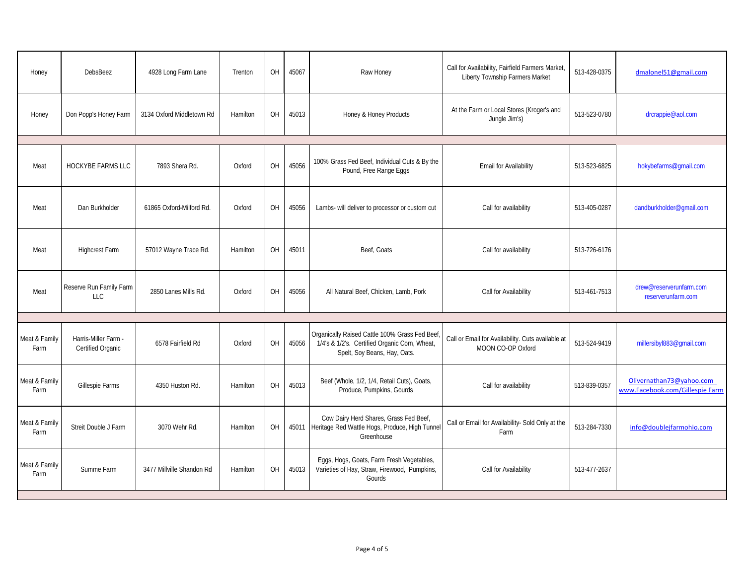| Honey                 | <b>DebsBeez</b>                           | 4928 Long Farm Lane       | Trenton  | <b>OH</b> | 45067 | Raw Honey                                                                                                                      | Call for Availability, Fairfield Farmers Market,<br>Liberty Township Farmers Market | 513-428-0375 | dmalonel51@gmail.com                                        |
|-----------------------|-------------------------------------------|---------------------------|----------|-----------|-------|--------------------------------------------------------------------------------------------------------------------------------|-------------------------------------------------------------------------------------|--------------|-------------------------------------------------------------|
| Honey                 | Don Popp's Honey Farm                     | 3134 Oxford Middletown Rd | Hamilton | OH        | 45013 | Honey & Honey Products                                                                                                         | At the Farm or Local Stores (Kroger's and<br>Jungle Jim's)                          | 513-523-0780 | drcrappie@aol.com                                           |
|                       |                                           |                           |          |           |       |                                                                                                                                |                                                                                     |              |                                                             |
| Meat                  | HOCKYBE FARMS LLC                         | 7893 Shera Rd.            | Oxford   | OH        | 45056 | 100% Grass Fed Beef, Individual Cuts & By the<br>Pound, Free Range Eggs                                                        | <b>Email for Availability</b>                                                       | 513-523-6825 | hokybefarms@gmail.com                                       |
| Meat                  | Dan Burkholder                            | 61865 Oxford-Milford Rd.  | Oxford   | OH        | 45056 | Lambs- will deliver to processor or custom cut                                                                                 | Call for availability                                                               | 513-405-0287 | dandburkholder@qmail.com                                    |
| Meat                  | <b>Highcrest Farm</b>                     | 57012 Wayne Trace Rd.     | Hamilton | OH        | 45011 | Beef, Goats                                                                                                                    | Call for availability                                                               | 513-726-6176 |                                                             |
| Meat                  | Reserve Run Family Farm<br>LLC            | 2850 Lanes Mills Rd.      | Oxford   | <b>OH</b> | 45056 | All Natural Beef, Chicken, Lamb, Pork                                                                                          | Call for Availability                                                               | 513-461-7513 | drew@reserverunfarm.com<br>reserverunfarm.com               |
|                       |                                           |                           |          |           |       |                                                                                                                                |                                                                                     |              |                                                             |
| Meat & Family<br>Farm | Harris-Miller Farm -<br>Certified Organic | 6578 Fairfield Rd         | Oxford   | OH        | 45056 | Organically Raised Cattle 100% Grass Fed Beef<br>1/4's & 1/2's. Certified Organic Corn, Wheat,<br>Spelt, Soy Beans, Hay, Oats. | Call or Email for Availability. Cuts available at<br>MOON CO-OP Oxford              | 513-524-9419 | millersibyl883@gmail.com                                    |
| Meat & Family<br>Farm | Gillespie Farms                           | 4350 Huston Rd.           | Hamilton | OH        | 45013 | Beef (Whole, 1/2, 1/4, Retail Cuts), Goats,<br>Produce, Pumpkins, Gourds                                                       | Call for availability                                                               | 513-839-0357 | Olivernathan73@yahoo.com<br>www.Facebook.com/Gillespie Farm |
| Meat & Family<br>Farm | Streit Double J Farm                      | 3070 Wehr Rd.             | Hamilton | OH        |       | Cow Dairy Herd Shares, Grass Fed Beef,<br>45011 Heritage Red Wattle Hogs, Produce, High Tunnel<br>Greenhouse                   | Call or Email for Availability- Sold Only at the<br>Farm                            | 513-284-7330 | info@doublejfarmohio.com                                    |
| Meat & Family<br>Farm | Summe Farm                                | 3477 Millville Shandon Rd | Hamilton | OH        | 45013 | Eggs, Hogs, Goats, Farm Fresh Vegetables,<br>Varieties of Hay, Straw, Firewood, Pumpkins,<br>Gourds                            | Call for Availability                                                               | 513-477-2637 |                                                             |
|                       |                                           |                           |          |           |       |                                                                                                                                |                                                                                     |              |                                                             |